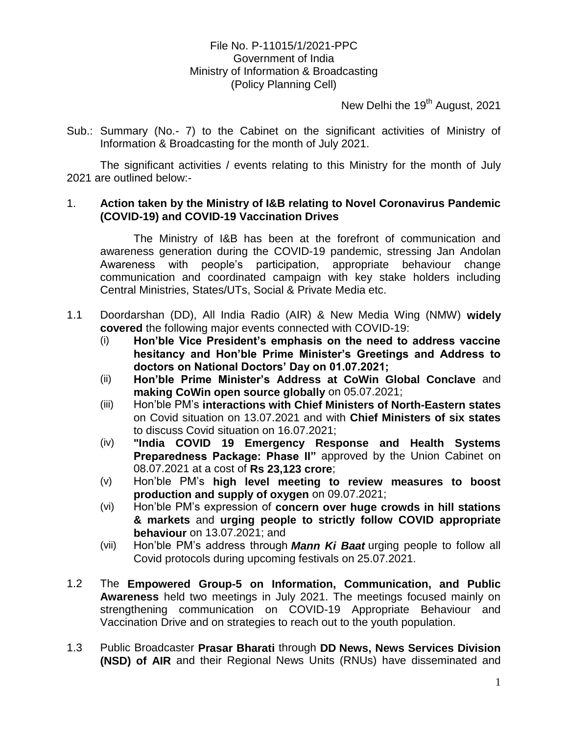# File No. P-11015/1/2021-PPC Government of India Ministry of Information & Broadcasting (Policy Planning Cell)

New Delhi the 19<sup>th</sup> August, 2021

Sub.: Summary (No.- 7) to the Cabinet on the significant activities of Ministry of Information & Broadcasting for the month of July 2021.

The significant activities / events relating to this Ministry for the month of July 2021 are outlined below:-

### 1. **Action taken by the Ministry of I&B relating to Novel Coronavirus Pandemic (COVID-19) and COVID-19 Vaccination Drives**

The Ministry of I&B has been at the forefront of communication and awareness generation during the COVID-19 pandemic, stressing Jan Andolan Awareness with people's participation, appropriate behaviour change communication and coordinated campaign with key stake holders including Central Ministries, States/UTs, Social & Private Media etc.

- 1.1 Doordarshan (DD), All India Radio (AIR) & New Media Wing (NMW) **widely covered** the following major events connected with COVID-19:
	- (i) **Hon"ble Vice President"s emphasis on the need to address vaccine hesitancy and Hon"ble Prime Minister"s Greetings and Address to doctors on National Doctors" Day on 01.07.2021;**
	- (ii) **Hon"ble Prime Minister"s Address at CoWin Global Conclave** and **making CoWin open source globally** on 05.07.2021;
	- (iii) Hon'ble PM's **interactions with Chief Ministers of North-Eastern states** on Covid situation on 13.07.2021 and with **Chief Ministers of six states** to discuss Covid situation on 16.07.2021;
	- (iv) **"India COVID 19 Emergency Response and Health Systems Preparedness Package: Phase II" approved by the Union Cabinet on** 08.07.2021 at a cost of **Rs 23,123 crore**;
	- (v) Hon'ble PM's **high level meeting to review measures to boost production and supply of oxygen** on 09.07.2021;
	- (vi) Hon'ble PM's expression of **concern over huge crowds in hill stations & markets** and **urging people to strictly follow COVID appropriate behaviour** on 13.07.2021; and
	- (vii) Hon'ble PM's address through *Mann Ki Baat* urging people to follow all Covid protocols during upcoming festivals on 25.07.2021.
- 1.2 The **Empowered Group-5 on Information, Communication, and Public Awareness** held two meetings in July 2021. The meetings focused mainly on strengthening communication on COVID-19 Appropriate Behaviour and Vaccination Drive and on strategies to reach out to the youth population.
- 1.3 Public Broadcaster **Prasar Bharati** through **DD News, News Services Division (NSD) of AIR** and their Regional News Units (RNUs) have disseminated and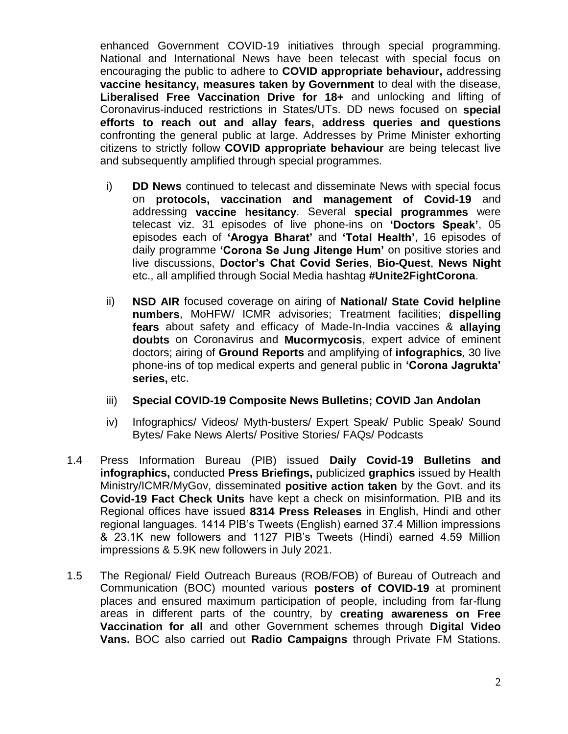enhanced Government COVID-19 initiatives through special programming. National and International News have been telecast with special focus on encouraging the public to adhere to **COVID appropriate behaviour,** addressing **vaccine hesitancy, measures taken by Government** to deal with the disease, **Liberalised Free Vaccination Drive for 18+** and unlocking and lifting of Coronavirus-induced restrictions in States/UTs. DD news focused on **special efforts to reach out and allay fears, address queries and questions** confronting the general public at large. Addresses by Prime Minister exhorting citizens to strictly follow **COVID appropriate behaviour** are being telecast live and subsequently amplified through special programmes.

- i) **DD News** continued to telecast and disseminate News with special focus on **protocols, vaccination and management of Covid-19** and addressing **vaccine hesitancy**. Several **special programmes** were telecast viz. 31 episodes of live phone-ins on **"Doctors Speak"**, 05 episodes each of **"Arogya Bharat"** and **"Total Health"**, 16 episodes of daily programme **"Corona Se Jung Jitenge Hum"** on positive stories and live discussions, **Doctor"s Chat Covid Series**, **Bio-Quest**, **News Night** etc., all amplified through Social Media hashtag **#Unite2FightCorona**.
- ii) **NSD AIR** focused coverage on airing of **National/ State Covid helpline numbers**, MoHFW/ ICMR advisories; Treatment facilities; **dispelling fears** about safety and efficacy of Made-In-India vaccines & **allaying doubts** on Coronavirus and **Mucormycosis**, expert advice of eminent doctors; airing of **Ground Reports** and amplifying of **infographics***,* 30 live phone-ins of top medical experts and general public in **"Corona Jagrukta" series,** etc.
- iii) **Special COVID-19 Composite News Bulletins; COVID Jan Andolan**
- iv) Infographics/ Videos/ Myth-busters/ Expert Speak/ Public Speak/ Sound Bytes/ Fake News Alerts/ Positive Stories/ FAQs/ Podcasts
- 1.4 Press Information Bureau (PIB) issued **Daily Covid-19 Bulletins and infographics,** conducted **Press Briefings,** publicized **graphics** issued by Health Ministry/ICMR/MyGov, disseminated **positive action taken** by the Govt. and its **Covid-19 Fact Check Units** have kept a check on misinformation. PIB and its Regional offices have issued **8314 Press Releases** in English, Hindi and other regional languages. 1414 PIB's Tweets (English) earned 37.4 Million impressions & 23.1K new followers and 1127 PIB's Tweets (Hindi) earned 4.59 Million impressions & 5.9K new followers in July 2021.
- 1.5 The Regional/ Field Outreach Bureaus (ROB/FOB) of Bureau of Outreach and Communication (BOC) mounted various **posters of COVID-19** at prominent places and ensured maximum participation of people, including from far-flung areas in different parts of the country, by **creating awareness on Free Vaccination for all** and other Government schemes through **Digital Video Vans.** BOC also carried out **Radio Campaigns** through Private FM Stations.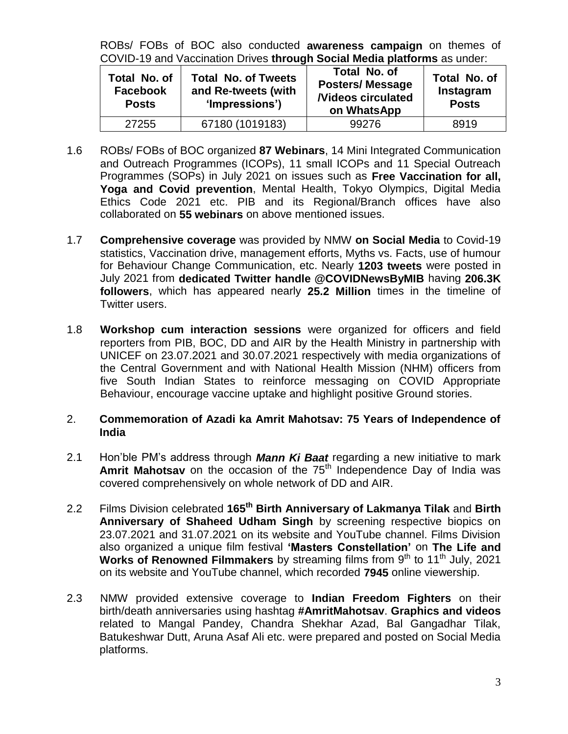ROBs/ FOBs of BOC also conducted **awareness campaign** on themes of COVID-19 and Vaccination Drives **through Social Media platforms** as under:

| Total No. of<br><b>Facebook</b><br><b>Posts</b> | <b>Total No. of Tweets</b><br>and Re-tweets (with<br>'Impressions') | Total No. of<br><b>Posters/Message</b><br><b>Nideos circulated</b><br>on WhatsApp | Total No. of<br>Instagram<br><b>Posts</b> |
|-------------------------------------------------|---------------------------------------------------------------------|-----------------------------------------------------------------------------------|-------------------------------------------|
| 27255                                           | 67180 (1019183)                                                     | 99276                                                                             | 8919                                      |

- 1.6 ROBs/ FOBs of BOC organized **87 Webinars**, 14 Mini Integrated Communication and Outreach Programmes (ICOPs), 11 small ICOPs and 11 Special Outreach Programmes (SOPs) in July 2021 on issues such as **Free Vaccination for all, Yoga and Covid prevention**, Mental Health, Tokyo Olympics, Digital Media Ethics Code 2021 etc. PIB and its Regional/Branch offices have also collaborated on **55 webinars** on above mentioned issues.
- 1.7 **Comprehensive coverage** was provided by NMW **on Social Media** to Covid-19 statistics, Vaccination drive, management efforts, Myths vs. Facts, use of humour for Behaviour Change Communication, etc. Nearly **1203 tweets** were posted in July 2021 from **dedicated Twitter handle @COVIDNewsByMIB** having **206.3K followers**, which has appeared nearly **25.2 Million** times in the timeline of Twitter users.
- 1.8 **Workshop cum interaction sessions** were organized for officers and field reporters from PIB, BOC, DD and AIR by the Health Ministry in partnership with UNICEF on 23.07.2021 and 30.07.2021 respectively with media organizations of the Central Government and with National Health Mission (NHM) officers from five South Indian States to reinforce messaging on COVID Appropriate Behaviour, encourage vaccine uptake and highlight positive Ground stories.

## 2. **Commemoration of Azadi ka Amrit Mahotsav: 75 Years of Independence of India**

- 2.1 Hon'ble PM's address through *Mann Ki Baat* regarding a new initiative to mark **Amrit Mahotsav** on the occasion of the 75<sup>th</sup> Independence Day of India was covered comprehensively on whole network of DD and AIR.
- 2.2 Films Division celebrated **165th Birth Anniversary of Lakmanya Tilak** and **Birth Anniversary of Shaheed Udham Singh** by screening respective biopics on 23.07.2021 and 31.07.2021 on its website and YouTube channel. Films Division also organized a unique film festival **"Masters Constellation"** on **The Life and Works of Renowned Filmmakers** by streaming films from 9<sup>th</sup> to 11<sup>th</sup> July, 2021 on its website and YouTube channel, which recorded **7945** online viewership.
- 2.3 NMW provided extensive coverage to **Indian Freedom Fighters** on their birth/death anniversaries using hashtag **#AmritMahotsav**. **Graphics and videos** related to Mangal Pandey, Chandra Shekhar Azad, Bal Gangadhar Tilak, Batukeshwar Dutt, Aruna Asaf Ali etc. were prepared and posted on Social Media platforms.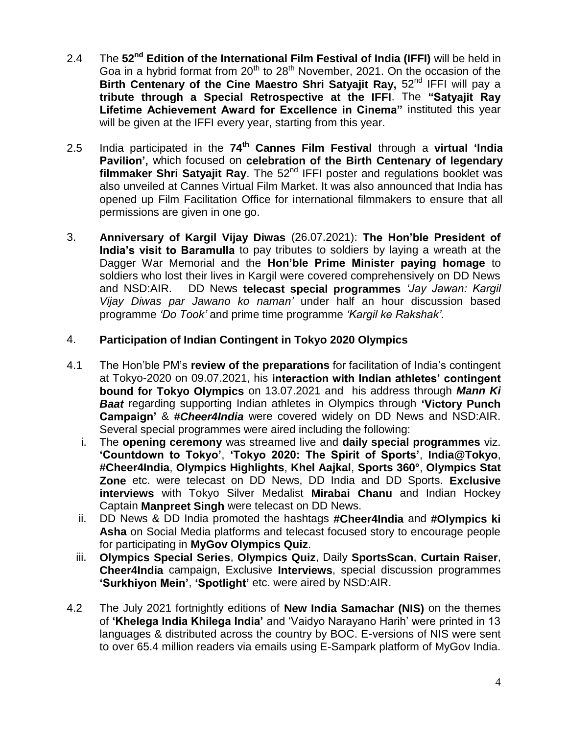- 2.4 The **52nd Edition of the International Film Festival of India (IFFI)** will be held in Goa in a hybrid format from  $20<sup>th</sup>$  to  $28<sup>th</sup>$  November, 2021. On the occasion of the **Birth Centenary of the Cine Maestro Shri Satyajit Ray, 52<sup>nd</sup> IFFI will pay a tribute through a Special Retrospective at the IFFI**. The **"Satyajit Ray Lifetime Achievement Award for Excellence in Cinema"** instituted this year will be given at the IFFI every year, starting from this year.
- 2.5 India participated in the **74th Cannes Film Festival** through a **virtual "India Pavilion",** which focused on **celebration of the Birth Centenary of legendary**  filmmaker Shri Satyajit Ray. The 52<sup>nd</sup> IFFI poster and regulations booklet was also unveiled at Cannes Virtual Film Market. It was also announced that India has opened up Film Facilitation Office for international filmmakers to ensure that all permissions are given in one go.
- 3. **Anniversary of Kargil Vijay Diwas** (26.07.2021): **The Hon"ble President of India"s visit to Baramulla** to pay tributes to soldiers by laying a wreath at the Dagger War Memorial and the **Hon"ble Prime Minister paying homage** to soldiers who lost their lives in Kargil were covered comprehensively on DD News and NSD:AIR. DD News **telecast special programmes** *'Jay Jawan: Kargil Vijay Diwas par Jawano ko naman'* under half an hour discussion based programme *'Do Took'* and prime time programme *'Kargil ke Rakshak'*.

# 4. **Participation of Indian Contingent in Tokyo 2020 Olympics**

- 4.1 The Hon'ble PM's **review of the preparations** for facilitation of India's contingent at Tokyo-2020 on 09.07.2021, his **interaction with Indian athletes" contingent bound for Tokyo Olympics** on 13.07.2021 and his address through *Mann Ki Baat* regarding supporting Indian athletes in Olympics through **"Victory Punch Campaign"** & *#Cheer4India* were covered widely on DD News and NSD:AIR. Several special programmes were aired including the following:
	- i. The **opening ceremony** was streamed live and **daily special programmes** viz. **"Countdown to Tokyo"**, **"Tokyo 2020: The Spirit of Sports"**, **India@Tokyo**, **#Cheer4India**, **Olympics Highlights**, **Khel Aajkal**, **Sports 360°**, **Olympics Stat Zone** etc. were telecast on DD News, DD India and DD Sports. **Exclusive interviews** with Tokyo Silver Medalist **Mirabai Chanu** and Indian Hockey Captain **Manpreet Singh** were telecast on DD News.
	- ii. DD News & DD India promoted the hashtags **#Cheer4India** and **#Olympics ki Asha** on Social Media platforms and telecast focused story to encourage people for participating in **MyGov Olympics Quiz**.
	- iii. **Olympics Special Series**, **Olympics Quiz**, Daily **SportsScan**, **Curtain Raiser**, **Cheer4India** campaign, Exclusive **Interviews**, special discussion programmes **"Surkhiyon Mein"**, **"Spotlight"** etc. were aired by NSD:AIR.
- 4.2 The July 2021 fortnightly editions of **New India Samachar (NIS)** on the themes of **"Khelega India Khilega India"** and 'Vaidyo Narayano Harih' were printed in 13 languages & distributed across the country by BOC. E-versions of NIS were sent to over 65.4 million readers via emails using E-Sampark platform of MyGov India.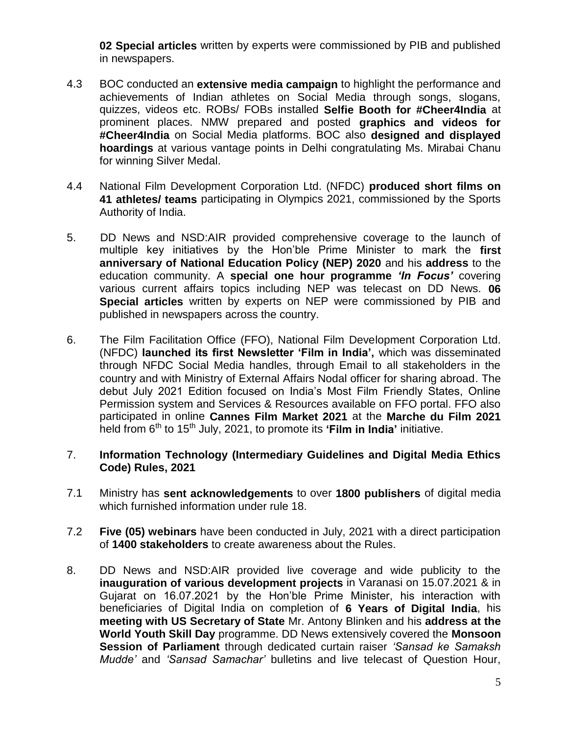**02 Special articles** written by experts were commissioned by PIB and published in newspapers.

- 4.3 BOC conducted an **extensive media campaign** to highlight the performance and achievements of Indian athletes on Social Media through songs, slogans, quizzes, videos etc. ROBs/ FOBs installed **Selfie Booth for #Cheer4India** at prominent places. NMW prepared and posted **graphics and videos for #Cheer4India** on Social Media platforms. BOC also **designed and displayed hoardings** at various vantage points in Delhi congratulating Ms. Mirabai Chanu for winning Silver Medal.
- 4.4 National Film Development Corporation Ltd. (NFDC) **produced short films on 41 athletes/ teams** participating in Olympics 2021, commissioned by the Sports Authority of India.
- 5. DD News and NSD:AIR provided comprehensive coverage to the launch of multiple key initiatives by the Hon'ble Prime Minister to mark the **first anniversary of National Education Policy (NEP) 2020** and his **address** to the education community. A **special one hour programme** *"In Focus"* covering various current affairs topics including NEP was telecast on DD News. **06 Special articles** written by experts on NEP were commissioned by PIB and published in newspapers across the country.
- 6. The Film Facilitation Office (FFO), National Film Development Corporation Ltd. (NFDC) **launched its first Newsletter "Film in India",** which was disseminated through NFDC Social Media handles, through Email to all stakeholders in the country and with Ministry of External Affairs Nodal officer for sharing abroad. The debut July 2021 Edition focused on India's Most Film Friendly States, Online Permission system and Services & Resources available on FFO portal. FFO also participated in online **Cannes Film Market 2021** at the **Marche du Film 2021** held from 6<sup>th</sup> to 15<sup>th</sup> July, 2021, to promote its **'Film in India'** initiative.

# 7. **Information Technology (Intermediary Guidelines and Digital Media Ethics Code) Rules, 2021**

- 7.1 Ministry has **sent acknowledgements** to over **1800 publishers** of digital media which furnished information under rule 18.
- 7.2 **Five (05) webinars** have been conducted in July, 2021 with a direct participation of **1400 stakeholders** to create awareness about the Rules.
- 8. DD News and NSD:AIR provided live coverage and wide publicity to the **inauguration of various development projects** in Varanasi on 15.07.2021 & in Gujarat on 16.07.2021 by the Hon'ble Prime Minister, his interaction with beneficiaries of Digital India on completion of **6 Years of Digital India**, his **meeting with US Secretary of State** Mr. Antony Blinken and his **address at the World Youth Skill Day** programme. DD News extensively covered the **Monsoon Session of Parliament** through dedicated curtain raiser *'Sansad ke Samaksh Mudde'* and *'Sansad Samachar'* bulletins and live telecast of Question Hour,